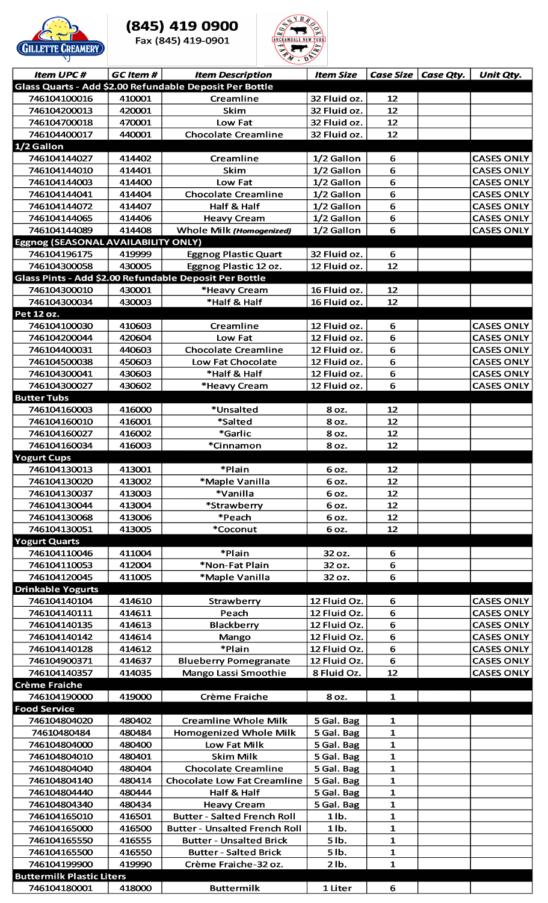

## (845) 419 0900

Fax (845) 419-0901



| <b>Item UPC#</b>                         | <b>GC</b> Item # | <b>Item Description</b>                                      | <b>Item Size</b>             |                              | Case Size $\vert$ Case Qty. | Unit Qty.                              |
|------------------------------------------|------------------|--------------------------------------------------------------|------------------------------|------------------------------|-----------------------------|----------------------------------------|
|                                          |                  | Glass Quarts - Add \$2.00 Refundable Deposit Per Bottle      |                              |                              |                             |                                        |
| 746104100016                             | 410001           | Creamline                                                    | 32 Fluid oz.                 | 12                           |                             |                                        |
| 746104200013                             | 420001           | Skim                                                         | 32 Fluid oz.                 | 12                           |                             |                                        |
| 746104700018                             | 470001           | Low Fat                                                      | 32 Fluid oz.                 | 12                           |                             |                                        |
| 746104400017                             | 440001           | <b>Chocolate Creamline</b>                                   | 32 Fluid oz.                 | 12                           |                             |                                        |
| 1/2 Gallon                               |                  |                                                              |                              |                              |                             |                                        |
| 746104144027                             | 414402           | Creamline                                                    | 1/2 Gallon                   | 6                            |                             | <b>CASES ONLY</b>                      |
| 746104144010                             | 414401           | Skim                                                         | 1/2 Gallon                   | 6                            |                             | <b>CASES ONLY</b>                      |
| 746104144003<br>746104144041             | 414400<br>414404 | Low Fat<br><b>Chocolate Creamline</b>                        | 1/2 Gallon<br>1/2 Gallon     | 6<br>6                       |                             | <b>CASES ONLY</b><br><b>CASES ONLY</b> |
| 746104144072                             | 414407           | Half & Half                                                  | 1/2 Gallon                   | 6                            |                             | <b>CASES ONLY</b>                      |
| 746104144065                             | 414406           | <b>Heavy Cream</b>                                           | 1/2 Gallon                   | 6                            |                             | <b>CASES ONLY</b>                      |
| 746104144089                             | 414408           | Whole Milk (Homogenized)                                     | 1/2 Gallon                   | 6                            |                             | <b>CASES ONLY</b>                      |
| Eggnog (SEASONAL AVAILABILITY ONLY)      |                  |                                                              |                              |                              |                             |                                        |
| 746104196175                             | 419999           | <b>Eggnog Plastic Quart</b>                                  | 32 Fluid oz.                 | 6                            |                             |                                        |
| 746104300058                             | 430005           | Eggnog Plastic 12 oz.                                        | 12 Fluid oz.                 | 12                           |                             |                                        |
|                                          |                  | Glass Pints - Add \$2.00 Refundable Deposit Per Bottle       |                              |                              |                             |                                        |
| 746104300010                             | 430001           | *Heavy Cream                                                 | 16 Fluid oz.                 | 12                           |                             |                                        |
| 746104300034                             | 430003           | *Half & Half                                                 | 16 Fluid oz.                 | 12                           |                             |                                        |
| Pet 12 oz.                               |                  |                                                              |                              |                              |                             |                                        |
| 746104100030<br>746104200044             | 410603<br>420604 | Creamline<br>Low Fat                                         | 12 Fluid oz.<br>12 Fluid oz. | 6<br>6                       |                             | <b>CASES ONLY</b><br><b>CASES ONLY</b> |
| 746104400031                             | 440603           | <b>Chocolate Creamline</b>                                   | 12 Fluid oz.                 | 6                            |                             | <b>CASES ONLY</b>                      |
| 746104500038                             | 450603           | Low Fat Chocolate                                            | 12 Fluid oz.                 | 6                            |                             | <b>CASES ONLY</b>                      |
| 746104300041                             | 430603           | *Half & Half                                                 | 12 Fluid oz.                 | 6                            |                             | <b>CASES ONLY</b>                      |
| 746104300027                             | 430602           | *Heavy Cream                                                 | 12 Fluid oz.                 | 6                            |                             | <b>CASES ONLY</b>                      |
| <b>Butter Tubs</b>                       |                  |                                                              |                              |                              |                             |                                        |
| 746104160003                             | 416000           | *Unsalted                                                    | 8 oz.                        | 12                           |                             |                                        |
| 746104160010                             | 416001           | *Salted                                                      | 8 oz.                        | 12                           |                             |                                        |
| 746104160027                             | 416002           | *Garlic                                                      | 8 oz.                        | 12                           |                             |                                        |
| 746104160034                             | 416003           | *Cinnamon                                                    | 8 oz.                        | 12                           |                             |                                        |
| <b>Yogurt Cups</b>                       |                  |                                                              |                              |                              |                             |                                        |
| 746104130013<br>746104130020             | 413001<br>413002 | *Plain<br>*Maple Vanilla                                     | 6 oz.<br>6 oz.               | 12<br>12                     |                             |                                        |
| 746104130037                             | 413003           | *Vanilla                                                     | 6 oz.                        | 12                           |                             |                                        |
| 746104130044                             | 413004           | *Strawberry                                                  | 6 oz.                        | 12                           |                             |                                        |
| 746104130068                             | 413006           | *Peach                                                       | 6 oz.                        | 12                           |                             |                                        |
| 746104130051                             | 413005           | *Coconut                                                     | 6 oz.                        | 12                           |                             |                                        |
| <b>Yogurt Quarts</b>                     |                  |                                                              |                              |                              |                             |                                        |
| 746104110046                             | 411004           | *Plain                                                       | 32 oz.                       | 6                            |                             |                                        |
| 746104110053                             | 412004           | *Non-Fat Plain                                               | 32 oz.                       | 6                            |                             |                                        |
| 746104120045                             | 411005           | *Maple Vanilla                                               | 32 oz.                       | 6                            |                             |                                        |
| <b>Drinkable Yogurts</b><br>746104140104 | 414610           |                                                              | 12 Fluid Oz.                 | 6                            |                             | <b>CASES ONLY</b>                      |
| 746104140111                             | 414611           | Strawberry<br>Peach                                          | 12 Fluid Oz.                 | 6                            |                             | <b>CASES ONLY</b>                      |
| 746104140135                             | 414613           | <b>Blackberry</b>                                            | 12 Fluid Oz.                 | 6                            |                             | <b>CASES ONLY</b>                      |
| 746104140142                             | 414614           | Mango                                                        | 12 Fluid Oz.                 | 6                            |                             | <b>CASES ONLY</b>                      |
| 746104140128                             | 414612           | *Plain                                                       | 12 Fluid Oz.                 | 6                            |                             | <b>CASES ONLY</b>                      |
| 746104900371                             | 414637           | <b>Blueberry Pomegranate</b>                                 | 12 Fluid Oz.                 | 6                            |                             | <b>CASES ONLY</b>                      |
| 746104140357                             | 414035           | Mango Lassi Smoothie                                         | 8 Fluid Oz.                  | 12                           |                             | <b>CASES ONLY</b>                      |
| <b>Crème Fraiche</b>                     |                  |                                                              |                              |                              |                             |                                        |
| 746104190000                             | 419000           | Crème Fraiche                                                | 8 oz.                        | $\mathbf{1}$                 |                             |                                        |
| <b>Food Service</b>                      |                  |                                                              |                              |                              |                             |                                        |
| 746104804020<br>74610480484              | 480402<br>480484 | <b>Creamline Whole Milk</b><br><b>Homogenized Whole Milk</b> | 5 Gal. Bag<br>5 Gal. Bag     | 1<br>$\mathbf{1}$            |                             |                                        |
| 746104804000                             | 480400           | Low Fat Milk                                                 | 5 Gal. Bag                   | $\mathbf{1}$                 |                             |                                        |
| 746104804010                             | 480401           | <b>Skim Milk</b>                                             | 5 Gal. Bag                   | $\mathbf{1}$                 |                             |                                        |
| 746104804040                             | 480404           | <b>Chocolate Creamline</b>                                   | 5 Gal. Bag                   | $\mathbf{1}$                 |                             |                                        |
| 746104804140                             | 480414           | <b>Chocolate Low Fat Creamline</b>                           | 5 Gal. Bag                   | $\mathbf{1}$                 |                             |                                        |
| 746104804440                             | 480444           | Half & Half                                                  | 5 Gal. Bag                   | $\mathbf{1}$                 |                             |                                        |
| 746104804340                             | 480434           | <b>Heavy Cream</b>                                           | 5 Gal. Bag                   | $\mathbf{1}$                 |                             |                                        |
| 746104165010                             | 416501           | <b>Butter - Salted French Roll</b>                           | $1$ lb.                      | $\mathbf{1}$                 |                             |                                        |
| 746104165000                             | 416500           | <b>Butter - Unsalted French Roll</b>                         | $1$ lb.                      | $\mathbf{1}$                 |                             |                                        |
| 746104165550                             | 416555           | <b>Butter - Unsalted Brick</b>                               | $5$ lb.                      | $\mathbf{1}$                 |                             |                                        |
| 746104165500<br>746104199900             | 416550           | <b>Butter - Salted Brick</b>                                 | $5$ lb.                      | $\mathbf{1}$<br>$\mathbf{1}$ |                             |                                        |
| <b>Buttermilk Plastic Liters</b>         | 419990           | Crème Fraiche-32 oz.                                         | $2$ lb.                      |                              |                             |                                        |
| 746104180001                             | 418000           | <b>Buttermilk</b>                                            | 1 Liter                      | 6                            |                             |                                        |